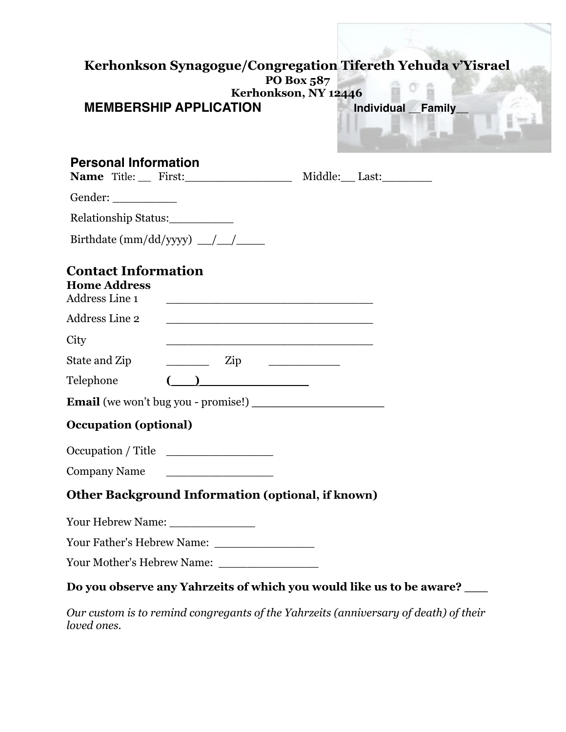|                                                                            |                                                                                                                                                                                                                                                                                                                                                                                                                                 | PO Box 587<br>Kerhonkson, NY 12446 | Kerhonkson Synagogue/Congregation Tifereth Yehuda v'Yisrael            |
|----------------------------------------------------------------------------|---------------------------------------------------------------------------------------------------------------------------------------------------------------------------------------------------------------------------------------------------------------------------------------------------------------------------------------------------------------------------------------------------------------------------------|------------------------------------|------------------------------------------------------------------------|
|                                                                            | <b>MEMBERSHIP APPLICATION</b>                                                                                                                                                                                                                                                                                                                                                                                                   |                                    | Individual Family                                                      |
| <b>Personal Information</b>                                                | Name $\text{Title:}$ First:                                                                                                                                                                                                                                                                                                                                                                                                     |                                    | Middle: Last:                                                          |
|                                                                            |                                                                                                                                                                                                                                                                                                                                                                                                                                 |                                    |                                                                        |
| Relationship Status:                                                       |                                                                                                                                                                                                                                                                                                                                                                                                                                 |                                    |                                                                        |
|                                                                            |                                                                                                                                                                                                                                                                                                                                                                                                                                 |                                    |                                                                        |
| <b>Contact Information</b><br><b>Home Address</b><br><b>Address Line 1</b> |                                                                                                                                                                                                                                                                                                                                                                                                                                 |                                    |                                                                        |
| <b>Address Line 2</b>                                                      |                                                                                                                                                                                                                                                                                                                                                                                                                                 |                                    |                                                                        |
| City                                                                       |                                                                                                                                                                                                                                                                                                                                                                                                                                 |                                    |                                                                        |
| State and Zip                                                              | $\frac{1}{\sqrt{1-\frac{1}{2}}}\frac{1}{\sqrt{1-\frac{1}{2}}}\frac{1}{\sqrt{1-\frac{1}{2}}}\frac{1}{\sqrt{1-\frac{1}{2}}}\frac{1}{\sqrt{1-\frac{1}{2}}}\frac{1}{\sqrt{1-\frac{1}{2}}}\frac{1}{\sqrt{1-\frac{1}{2}}}\frac{1}{\sqrt{1-\frac{1}{2}}}\frac{1}{\sqrt{1-\frac{1}{2}}}\frac{1}{\sqrt{1-\frac{1}{2}}}\frac{1}{\sqrt{1-\frac{1}{2}}}\frac{1}{\sqrt{1-\frac{1}{2}}}\frac{1}{\sqrt{1-\frac{1}{2}}}\frac{1}{\sqrt{1-\frac{$ |                                    |                                                                        |
| Telephone                                                                  |                                                                                                                                                                                                                                                                                                                                                                                                                                 |                                    |                                                                        |
|                                                                            |                                                                                                                                                                                                                                                                                                                                                                                                                                 |                                    |                                                                        |
| <b>Occupation (optional)</b>                                               |                                                                                                                                                                                                                                                                                                                                                                                                                                 |                                    |                                                                        |
| Occupation / Title                                                         |                                                                                                                                                                                                                                                                                                                                                                                                                                 |                                    |                                                                        |
| <b>Company Name</b>                                                        |                                                                                                                                                                                                                                                                                                                                                                                                                                 |                                    |                                                                        |
|                                                                            | <b>Other Background Information (optional, if known)</b>                                                                                                                                                                                                                                                                                                                                                                        |                                    |                                                                        |
|                                                                            |                                                                                                                                                                                                                                                                                                                                                                                                                                 |                                    |                                                                        |
|                                                                            |                                                                                                                                                                                                                                                                                                                                                                                                                                 |                                    |                                                                        |
|                                                                            | Your Mother's Hebrew Name:                                                                                                                                                                                                                                                                                                                                                                                                      |                                    |                                                                        |
|                                                                            |                                                                                                                                                                                                                                                                                                                                                                                                                                 |                                    | Do you observe any Yahrzeits of which you would like us to be aware? _ |

*Our custom is to remind congregants of the Yahrzeits (anniversary of death) of their loved ones.*